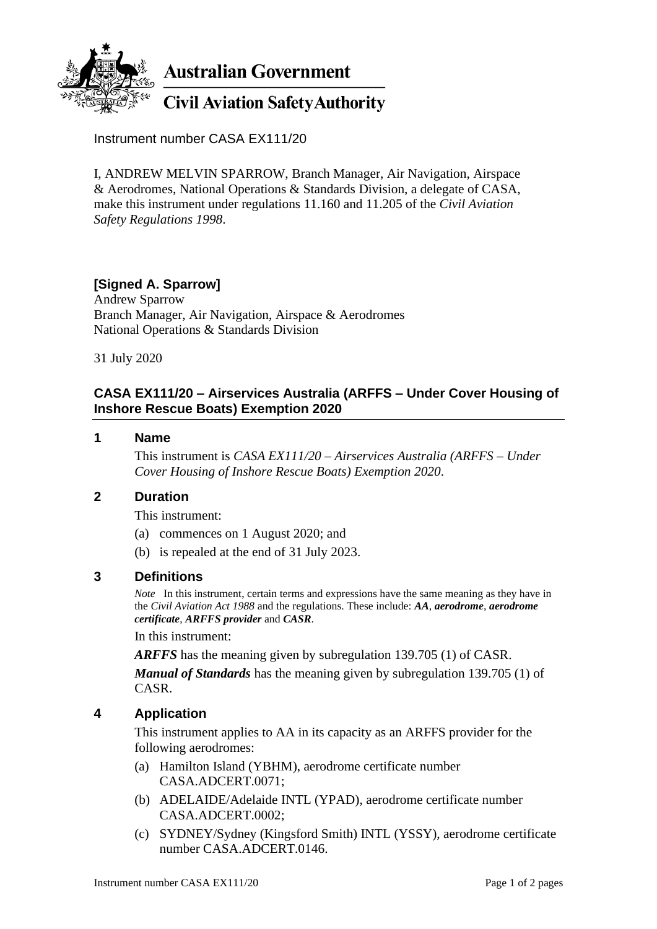

Instrument number CASA EX111/20

I, ANDREW MELVIN SPARROW, Branch Manager, Air Navigation, Airspace & Aerodromes, National Operations & Standards Division, a delegate of CASA, make this instrument under regulations 11.160 and 11.205 of the *Civil Aviation Safety Regulations 1998*.

# **[Signed A. Sparrow]**

Andrew Sparrow Branch Manager, Air Navigation, Airspace & Aerodromes National Operations & Standards Division

31 July 2020

### **CASA EX111/20 – Airservices Australia (ARFFS – Under Cover Housing of Inshore Rescue Boats) Exemption 2020**

#### **1 Name**

This instrument is *CASA EX111/20 – Airservices Australia (ARFFS – Under Cover Housing of Inshore Rescue Boats) Exemption 2020*.

### **2 Duration**

This instrument:

- (a) commences on 1 August 2020; and
- (b) is repealed at the end of 31 July 2023.

#### **3 Definitions**

*Note* In this instrument, certain terms and expressions have the same meaning as they have in the *Civil Aviation Act 1988* and the regulations. These include: *AA*, *aerodrome*, *aerodrome certificate*, *ARFFS provider* and *CASR*.

In this instrument:

*ARFFS* has the meaning given by subregulation 139.705 (1) of CASR.

*Manual of Standards* has the meaning given by subregulation 139.705 (1) of CASR.

# **4 Application**

This instrument applies to AA in its capacity as an ARFFS provider for the following aerodromes:

- (a) Hamilton Island (YBHM), aerodrome certificate number CASA.ADCERT.0071;
- (b) ADELAIDE/Adelaide INTL (YPAD), aerodrome certificate number CASA.ADCERT.0002;
- (c) SYDNEY/Sydney (Kingsford Smith) INTL (YSSY), aerodrome certificate number CASA.ADCERT.0146.